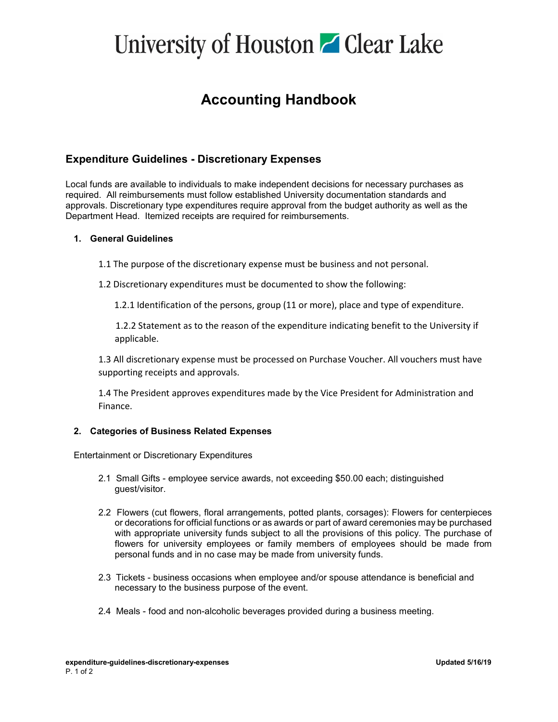# University of Houston **C** Clear Lake

### **Accounting Handbook**

### **Expenditure Guidelines - Discretionary Expenses**

Local funds are available to individuals to make independent decisions for necessary purchases as required. All reimbursements must follow established University documentation standards and approvals. Discretionary type expenditures require approval from the budget authority as well as the Department Head. Itemized receipts are required for reimbursements.

#### **1. General Guidelines**

- 1.1 The purpose of the discretionary expense must be business and not personal.
- 1.2 Discretionary expenditures must be documented to show the following:

1.2.1 Identification of the persons, group (11 or more), place and type of expenditure.

 1.2.2 Statement as to the reason of the expenditure indicating benefit to the University if applicable.

1.3 All discretionary expense must be processed on Purchase Voucher. All vouchers must have supporting receipts and approvals.

1.4 The President approves expenditures made by the Vice President for Administration and Finance.

#### **2. Categories of Business Related Expenses**

Entertainment or Discretionary Expenditures

- 2.1 Small Gifts employee service awards, not exceeding \$50.00 each; distinguished guest/visitor.
- 2.2 Flowers (cut flowers, floral arrangements, potted plants, corsages): Flowers for centerpieces or decorations for official functions or as awards or part of award ceremonies may be purchased with appropriate university funds subject to all the provisions of this policy. The purchase of flowers for university employees or family members of employees should be made from personal funds and in no case may be made from university funds.
- 2.3 Tickets business occasions when employee and/or spouse attendance is beneficial and necessary to the business purpose of the event.
- 2.4 Meals food and non-alcoholic beverages provided during a business meeting.